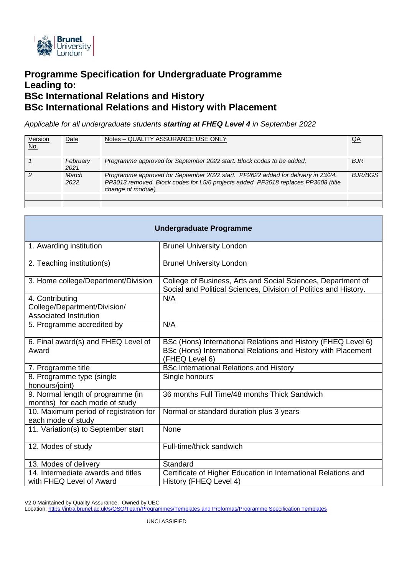

# **Programme Specification for Undergraduate Programme Leading to: BSc International Relations and History BSc International Relations and History with Placement**

*Applicable for all undergraduate students starting at FHEQ Level 4 in September 2022*

| Version<br><u>No.</u> | Date             | Notes - QUALITY ASSURANCE USE ONLY                                                                                                                                                          | QA             |
|-----------------------|------------------|---------------------------------------------------------------------------------------------------------------------------------------------------------------------------------------------|----------------|
|                       | February<br>2021 | Programme approved for September 2022 start. Block codes to be added.                                                                                                                       | <b>BJR</b>     |
|                       | March<br>2022    | Programme approved for September 2022 start. PP2622 added for delivery in 23/24.<br>PP3013 removed. Block codes for L5/6 projects added. PP3618 replaces PP3608 (title<br>change of module) | <b>BJR/BGS</b> |
|                       |                  |                                                                                                                                                                                             |                |
|                       |                  |                                                                                                                                                                                             |                |

| <b>Undergraduate Programme</b>                                                   |                                                                                                                                                  |  |  |
|----------------------------------------------------------------------------------|--------------------------------------------------------------------------------------------------------------------------------------------------|--|--|
| 1. Awarding institution                                                          | <b>Brunel University London</b>                                                                                                                  |  |  |
| 2. Teaching institution(s)                                                       | <b>Brunel University London</b>                                                                                                                  |  |  |
| 3. Home college/Department/Division                                              | College of Business, Arts and Social Sciences, Department of<br>Social and Political Sciences, Division of Politics and History.                 |  |  |
| 4. Contributing<br>College/Department/Division/<br><b>Associated Institution</b> | N/A                                                                                                                                              |  |  |
| 5. Programme accredited by                                                       | N/A                                                                                                                                              |  |  |
| 6. Final award(s) and FHEQ Level of<br>Award                                     | BSc (Hons) International Relations and History (FHEQ Level 6)<br>BSc (Hons) International Relations and History with Placement<br>(FHEQ Level 6) |  |  |
| 7. Programme title                                                               | <b>BSc International Relations and History</b>                                                                                                   |  |  |
| 8. Programme type (single<br>honours/joint)                                      | Single honours                                                                                                                                   |  |  |
| 9. Normal length of programme (in<br>months) for each mode of study              | 36 months Full Time/48 months Thick Sandwich                                                                                                     |  |  |
| 10. Maximum period of registration for<br>each mode of study                     | Normal or standard duration plus 3 years                                                                                                         |  |  |
| 11. Variation(s) to September start                                              | None                                                                                                                                             |  |  |
| 12. Modes of study                                                               | Full-time/thick sandwich                                                                                                                         |  |  |
| 13. Modes of delivery                                                            | Standard                                                                                                                                         |  |  |
| 14. Intermediate awards and titles<br>with FHEQ Level of Award                   | Certificate of Higher Education in International Relations and<br>History (FHEQ Level 4)                                                         |  |  |

V2.0 Maintained by Quality Assurance. Owned by UEC

Location[: https://intra.brunel.ac.uk/s/QSO/Team/Programmes/Templates and Proformas/Programme Specification Templates](about:blank)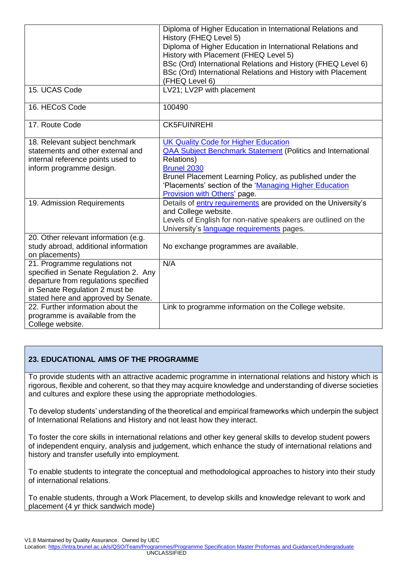|                                       | Diploma of Higher Education in International Relations and            |
|---------------------------------------|-----------------------------------------------------------------------|
|                                       | History (FHEQ Level 5)                                                |
|                                       | Diploma of Higher Education in International Relations and            |
|                                       | History with Placement (FHEQ Level 5)                                 |
|                                       | BSc (Ord) International Relations and History (FHEQ Level 6)          |
|                                       | BSc (Ord) International Relations and History with Placement          |
|                                       | (FHEQ Level 6)                                                        |
| 15. UCAS Code                         | LV21; LV2P with placement                                             |
| 16. HECoS Code                        | 100490                                                                |
| 17. Route Code                        | <b>CK5FUINREHI</b>                                                    |
| 18. Relevant subject benchmark        | <b>UK Quality Code for Higher Education</b>                           |
| statements and other external and     | <b>QAA Subject Benchmark Statement (Politics and International</b>    |
| internal reference points used to     | <b>Relations)</b>                                                     |
| inform programme design.              | <b>Brunel 2030</b>                                                    |
|                                       | Brunel Placement Learning Policy, as published under the              |
|                                       | 'Placements' section of the 'Managing Higher Education                |
|                                       | Provision with Others' page.                                          |
| 19. Admission Requirements            | Details of <b>entry requirements</b> are provided on the University's |
|                                       | and College website.                                                  |
|                                       | Levels of English for non-native speakers are outlined on the         |
|                                       | University's language requirements pages.                             |
| 20. Other relevant information (e.g.  |                                                                       |
| study abroad, additional information  | No exchange programmes are available.                                 |
| on placements)                        |                                                                       |
| 21. Programme regulations not         | N/A                                                                   |
| specified in Senate Regulation 2. Any |                                                                       |
| departure from regulations specified  |                                                                       |
| in Senate Regulation 2 must be        |                                                                       |
| stated here and approved by Senate.   |                                                                       |
| 22. Further information about the     | Link to programme information on the College website.                 |
| programme is available from the       |                                                                       |
| College website.                      |                                                                       |

# **23. EDUCATIONAL AIMS OF THE PROGRAMME**

To provide students with an attractive academic programme in international relations and history which is rigorous, flexible and coherent, so that they may acquire knowledge and understanding of diverse societies and cultures and explore these using the appropriate methodologies.

To develop students' understanding of the theoretical and empirical frameworks which underpin the subject of International Relations and History and not least how they interact.

To foster the core skills in international relations and other key general skills to develop student powers of independent enquiry, analysis and judgement, which enhance the study of international relations and history and transfer usefully into employment.

To enable students to integrate the conceptual and methodological approaches to history into their study of international relations.

To enable students, through a Work Placement, to develop skills and knowledge relevant to work and placement (4 yr thick sandwich mode)

V1.8 Maintained by Quality Assurance. Owned by UEC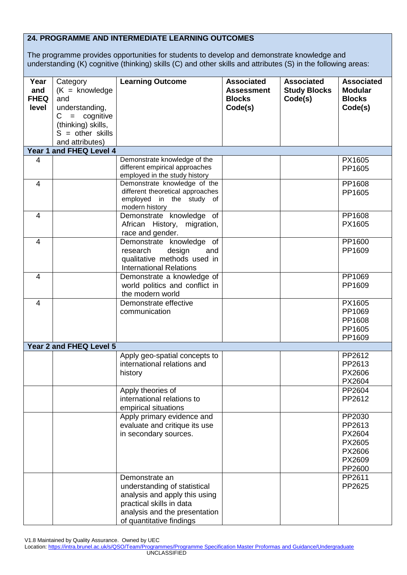# **24. PROGRAMME AND INTERMEDIATE LEARNING OUTCOMES**

The programme provides opportunities for students to develop and demonstrate knowledge and understanding (K) cognitive (thinking) skills (C) and other skills and attributes (S) in the following areas:

| Year<br>and<br><b>FHEQ</b><br>level | Category<br>$(K =$ knowledge<br>and<br>understanding,<br>$=$ cognitive<br>C<br>(thinking) skills,<br>$S = other skills$ | <b>Learning Outcome</b>                                                                                                                                                  | <b>Associated</b><br><b>Assessment</b><br><b>Blocks</b><br>Code(s) | <b>Associated</b><br><b>Study Blocks</b><br>Code(s) | <b>Associated</b><br><b>Modular</b><br><b>Blocks</b><br>Code(s)    |
|-------------------------------------|-------------------------------------------------------------------------------------------------------------------------|--------------------------------------------------------------------------------------------------------------------------------------------------------------------------|--------------------------------------------------------------------|-----------------------------------------------------|--------------------------------------------------------------------|
|                                     | and attributes)                                                                                                         |                                                                                                                                                                          |                                                                    |                                                     |                                                                    |
|                                     | Year 1 and FHEQ Level 4                                                                                                 |                                                                                                                                                                          |                                                                    |                                                     |                                                                    |
| 4                                   |                                                                                                                         | Demonstrate knowledge of the<br>different empirical approaches<br>employed in the study history                                                                          |                                                                    |                                                     | PX1605<br>PP1605                                                   |
| $\overline{4}$                      |                                                                                                                         | Demonstrate knowledge of the<br>different theoretical approaches<br>employed in the study of<br>modern history                                                           |                                                                    |                                                     | PP1608<br>PP1605                                                   |
| 4                                   |                                                                                                                         | Demonstrate knowledge of<br>African History, migration,<br>race and gender.                                                                                              |                                                                    |                                                     | PP1608<br>PX1605                                                   |
| $\overline{4}$                      |                                                                                                                         | Demonstrate knowledge of<br>research<br>design<br>and<br>qualitative methods used in<br><b>International Relations</b>                                                   |                                                                    |                                                     | PP1600<br>PP1609                                                   |
| $\overline{4}$                      |                                                                                                                         | Demonstrate a knowledge of<br>world politics and conflict in<br>the modern world                                                                                         |                                                                    |                                                     | PP1069<br>PP1609                                                   |
| 4                                   |                                                                                                                         | Demonstrate effective<br>communication                                                                                                                                   |                                                                    |                                                     | PX1605<br>PP1069<br>PP1608<br>PP1605<br>PP1609                     |
|                                     | Year 2 and FHEQ Level 5                                                                                                 |                                                                                                                                                                          |                                                                    |                                                     |                                                                    |
|                                     |                                                                                                                         | Apply geo-spatial concepts to<br>international relations and<br>history                                                                                                  |                                                                    |                                                     | PP2612<br>PP2613<br>PX2606<br>PX2604                               |
|                                     |                                                                                                                         | Apply theories of<br>international relations to<br>empirical situations                                                                                                  |                                                                    |                                                     | PP2604<br>PP2612                                                   |
|                                     |                                                                                                                         | Apply primary evidence and<br>evaluate and critique its use<br>in secondary sources.                                                                                     |                                                                    |                                                     | PP2030<br>PP2613<br>PX2604<br>PX2605<br>PX2606<br>PX2609<br>PP2600 |
|                                     |                                                                                                                         | Demonstrate an<br>understanding of statistical<br>analysis and apply this using<br>practical skills in data<br>analysis and the presentation<br>of quantitative findings |                                                                    |                                                     | PP2611<br>PP2625                                                   |

V1.8 Maintained by Quality Assurance. Owned by UEC

Location[: https://intra.brunel.ac.uk/s/QSO/Team/Programmes/Programme Specification Master Proformas and Guidance/Undergraduate](about:blank) **UNCLASSIFIED**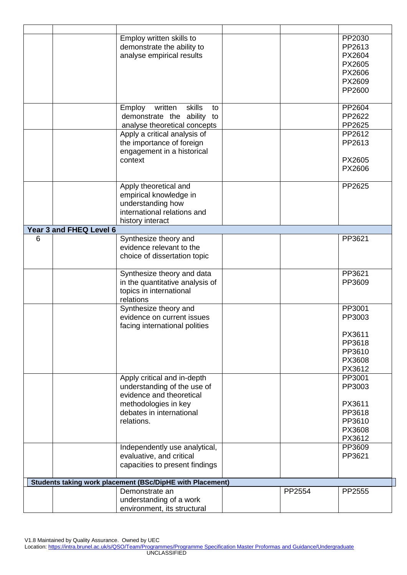|   |                         | Employ written skills to<br>demonstrate the ability to<br>analyse empirical results                                                                      |        | PP2030<br>PP2613<br>PX2604<br>PX2605<br>PX2606<br>PX2609<br>PP2600 |
|---|-------------------------|----------------------------------------------------------------------------------------------------------------------------------------------------------|--------|--------------------------------------------------------------------|
|   |                         | skills<br>written<br>Employ<br>to<br>demonstrate the ability to<br>analyse theoretical concepts                                                          |        | PP2604<br>PP2622<br>PP2625                                         |
|   |                         | Apply a critical analysis of<br>the importance of foreign<br>engagement in a historical<br>context                                                       |        | PP2612<br>PP2613<br>PX2605<br>PX2606                               |
|   |                         | Apply theoretical and<br>empirical knowledge in<br>understanding how<br>international relations and<br>history interact                                  |        | PP2625                                                             |
|   | Year 3 and FHEQ Level 6 |                                                                                                                                                          |        |                                                                    |
| 6 |                         | Synthesize theory and<br>evidence relevant to the<br>choice of dissertation topic                                                                        |        | PP3621                                                             |
|   |                         | Synthesize theory and data<br>in the quantitative analysis of<br>topics in international<br>relations                                                    |        | PP3621<br>PP3609                                                   |
|   |                         | Synthesize theory and<br>evidence on current issues<br>facing international polities                                                                     |        | PP3001<br>PP3003<br>PX3611<br>PP3618<br>PP3610<br>PX3608<br>PX3612 |
|   |                         | Apply critical and in-depth<br>understanding of the use of<br>evidence and theoretical<br>methodologies in key<br>debates in international<br>relations. |        | PP3001<br>PP3003<br>PX3611<br>PP3618<br>PP3610<br>PX3608<br>PX3612 |
|   |                         | Independently use analytical,<br>evaluative, and critical<br>capacities to present findings                                                              |        | PP3609<br>PP3621                                                   |
|   |                         | Students taking work placement (BSc/DipHE with Placement)                                                                                                |        |                                                                    |
|   |                         | Demonstrate an<br>understanding of a work<br>environment, its structural                                                                                 | PP2554 | PP2555                                                             |

V1.8 Maintained by Quality Assurance. Owned by UEC

Location[: https://intra.brunel.ac.uk/s/QSO/Team/Programmes/Programme Specification Master Proformas and Guidance/Undergraduate](about:blank) UNCLASSIFIED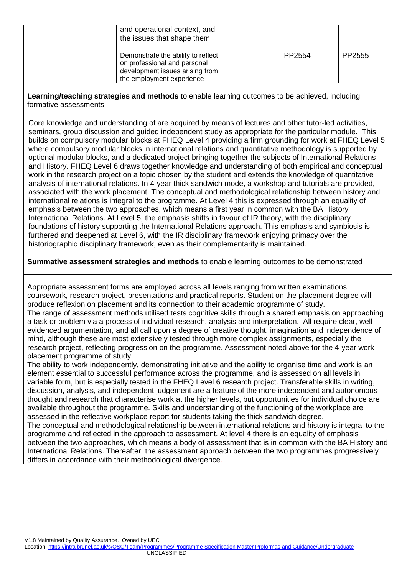| and operational context, and<br>the issues that shape them                                                                         |        |        |
|------------------------------------------------------------------------------------------------------------------------------------|--------|--------|
| Demonstrate the ability to reflect<br>on professional and personal<br>development issues arising from<br>the employment experience | PP2554 | PP2555 |

**Learning/teaching strategies and methods** to enable learning outcomes to be achieved, including formative assessments

Core knowledge and understanding of are acquired by means of lectures and other tutor-led activities, seminars, group discussion and guided independent study as appropriate for the particular module. This builds on compulsory modular blocks at FHEQ Level 4 providing a firm grounding for work at FHEQ Level 5 where compulsory modular blocks in international relations and quantitative methodology is supported by optional modular blocks, and a dedicated project bringing together the subjects of International Relations and History. FHEQ Level 6 draws together knowledge and understanding of both empirical and conceptual work in the research project on a topic chosen by the student and extends the knowledge of quantitative analysis of international relations. In 4-year thick sandwich mode, a workshop and tutorials are provided, associated with the work placement. The conceptual and methodological relationship between history and international relations is integral to the programme. At Level 4 this is expressed through an equality of emphasis between the two approaches, which means a first year in common with the BA History International Relations. At Level 5, the emphasis shifts in favour of IR theory, with the disciplinary foundations of history supporting the International Relations approach. This emphasis and symbiosis is furthered and deepened at Level 6, with the IR disciplinary framework enjoying primacy over the historiographic disciplinary framework, even as their complementarity is maintained.

**Summative assessment strategies and methods** to enable learning outcomes to be demonstrated

Appropriate assessment forms are employed across all levels ranging from written examinations, coursework, research project, presentations and practical reports. Student on the placement degree will produce reflexion on placement and its connection to their academic programme of study. The range of assessment methods utilised tests cognitive skills through a shared emphasis on approaching a task or problem via a process of individual research, analysis and interpretation. All require clear, wellevidenced argumentation, and all call upon a degree of creative thought, imagination and independence of mind, although these are most extensively tested through more complex assignments, especially the research project, reflecting progression on the programme. Assessment noted above for the 4-year work placement programme of study.

The ability to work independently, demonstrating initiative and the ability to organise time and work is an element essential to successful performance across the programme, and is assessed on all levels in variable form, but is especially tested in the FHEQ Level 6 research project. Transferable skills in writing, discussion, analysis, and independent judgement are a feature of the more independent and autonomous thought and research that characterise work at the higher levels, but opportunities for individual choice are available throughout the programme. Skills and understanding of the functioning of the workplace are assessed in the reflective workplace report for students taking the thick sandwich degree. The conceptual and methodological relationship between international relations and history is integral to the

programme and reflected in the approach to assessment. At level 4 there is an equality of emphasis between the two approaches, which means a body of assessment that is in common with the BA History and International Relations. Thereafter, the assessment approach between the two programmes progressively differs in accordance with their methodological divergence.

V1.8 Maintained by Quality Assurance. Owned by UEC

Location[: https://intra.brunel.ac.uk/s/QSO/Team/Programmes/Programme Specification Master Proformas and Guidance/Undergraduate](about:blank) UNCLASSIFIED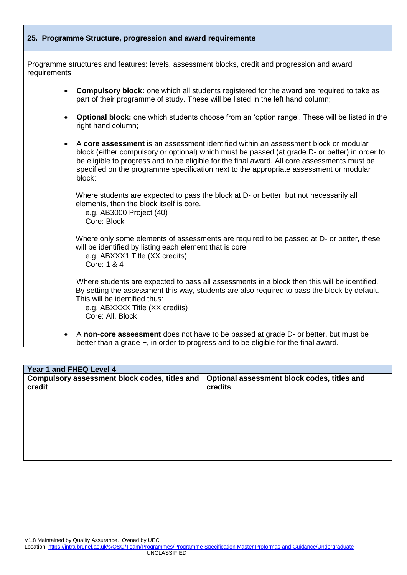

| Year 1 and FHEQ Level 4                                 |                                                        |  |  |
|---------------------------------------------------------|--------------------------------------------------------|--|--|
| Compulsory assessment block codes, titles and<br>credit | Optional assessment block codes, titles and<br>credits |  |  |
|                                                         |                                                        |  |  |

V1.8 Maintained by Quality Assurance. Owned by UEC

Location[: https://intra.brunel.ac.uk/s/QSO/Team/Programmes/Programme Specification Master Proformas and Guidance/Undergraduate](about:blank) UNCLASSIFIED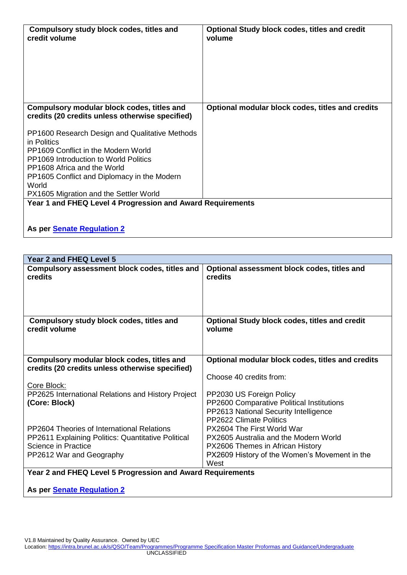| Compulsory study block codes, titles and<br>credit volume                                     | <b>Optional Study block codes, titles and credit</b><br>volume |
|-----------------------------------------------------------------------------------------------|----------------------------------------------------------------|
| Compulsory modular block codes, titles and<br>credits (20 credits unless otherwise specified) | Optional modular block codes, titles and credits               |
| PP1600 Research Design and Qualitative Methods<br>in Politics                                 |                                                                |
| PP1609 Conflict in the Modern World<br><b>PP1069 Introduction to World Politics</b>           |                                                                |
| PP1608 Africa and the World                                                                   |                                                                |
| PP1605 Conflict and Diplomacy in the Modern<br>World                                          |                                                                |
| PX1605 Migration and the Settler World                                                        |                                                                |
| Year 1 and FHEQ Level 4 Progression and Award Requirements                                    |                                                                |

**As per [Senate Regulation 2](about:blank)**

| Year 2 and FHEQ Level 5                                                                       |                                                                |  |  |
|-----------------------------------------------------------------------------------------------|----------------------------------------------------------------|--|--|
| Compulsory assessment block codes, titles and<br>credits                                      | Optional assessment block codes, titles and<br>credits         |  |  |
| Compulsory study block codes, titles and<br>credit volume                                     | <b>Optional Study block codes, titles and credit</b><br>volume |  |  |
| Compulsory modular block codes, titles and<br>credits (20 credits unless otherwise specified) | Optional modular block codes, titles and credits               |  |  |
| Core Block:                                                                                   | Choose 40 credits from:                                        |  |  |
| PP2625 International Relations and History Project                                            | PP2030 US Foreign Policy                                       |  |  |
| (Core: Block)                                                                                 | PP2600 Comparative Political Institutions                      |  |  |
|                                                                                               | PP2613 National Security Intelligence                          |  |  |
|                                                                                               | <b>PP2622 Climate Politics</b>                                 |  |  |
| PP2604 Theories of International Relations                                                    | PX2604 The First World War                                     |  |  |
| PP2611 Explaining Politics: Quantitative Political                                            | PX2605 Australia and the Modern World                          |  |  |
| <b>Science in Practice</b>                                                                    | PX2606 Themes in African History                               |  |  |
| PP2612 War and Geography                                                                      | PX2609 History of the Women's Movement in the                  |  |  |
|                                                                                               | West                                                           |  |  |
| Year 2 and FHEQ Level 5 Progression and Award Requirements                                    |                                                                |  |  |

**As per [Senate Regulation 2](about:blank)**

V1.8 Maintained by Quality Assurance. Owned by UEC

Location[: https://intra.brunel.ac.uk/s/QSO/Team/Programmes/Programme Specification Master Proformas and Guidance/Undergraduate](about:blank)